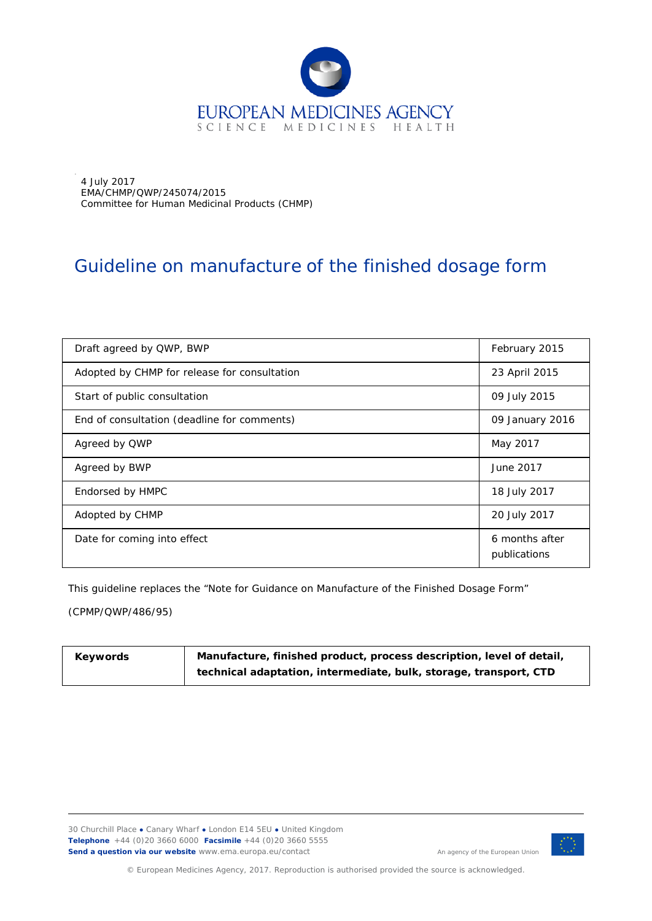

4 July 2017 EMA/CHMP/QWP/245074/2015 Committee for Human Medicinal Products (CHMP)

.

# Guideline on manufacture of the finished dosage form

| Draft agreed by QWP, BWP                     | February 2015                  |
|----------------------------------------------|--------------------------------|
| Adopted by CHMP for release for consultation | 23 April 2015                  |
| Start of public consultation                 | 09 July 2015                   |
| End of consultation (deadline for comments)  | 09 January 2016                |
| Agreed by QWP                                | May 2017                       |
| Agreed by BWP                                | June 2017                      |
| Endorsed by HMPC                             | 18 July 2017                   |
| Adopted by CHMP                              | 20 July 2017                   |
| Date for coming into effect                  | 6 months after<br>publications |

This guideline replaces the "Note for Guidance on Manufacture of the Finished Dosage Form"

(CPMP/QWP/486/95)

| Keywords | Manufacture, finished product, process description, level of detail, |
|----------|----------------------------------------------------------------------|
|          | technical adaptation, intermediate, bulk, storage, transport, CTD    |

30 Churchill Place **●** Canary Wharf **●** London E14 5EU **●** United Kingdom **Telephone** +44 (0)20 3660 6000 **Facsimile** +44 (0)20 3660 5555 **Send a question via our website** www.ema.europa.eu/contact



© European Medicines Agency, 2017. Reproduction is authorised provided the source is acknowledged.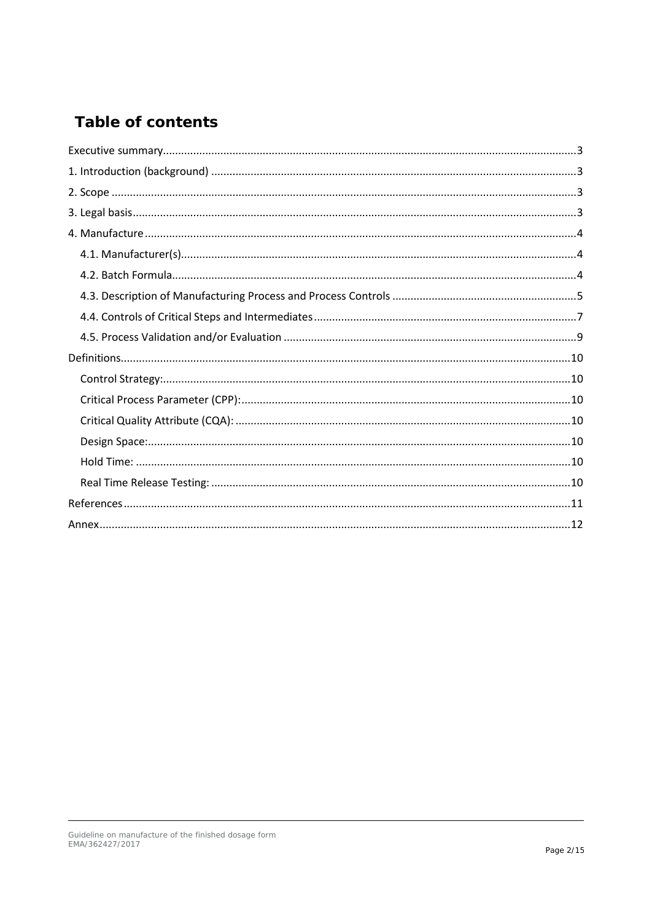# **Table of contents**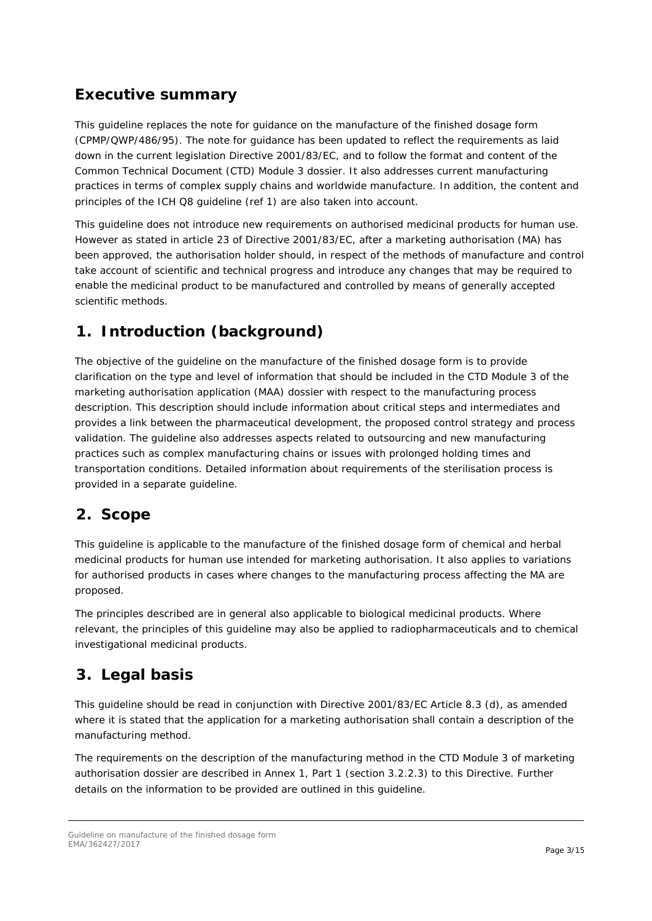## <span id="page-2-0"></span>**Executive summary**

This guideline replaces the note for guidance on the manufacture of the finished dosage form (CPMP/QWP/486/95). The note for guidance has been updated to reflect the requirements as laid down in the current legislation Directive 2001/83/EC, and to follow the format and content of the Common Technical Document (CTD) Module 3 dossier. It also addresses current manufacturing practices in terms of complex supply chains and worldwide manufacture. In addition, the content and principles of the ICH Q8 guideline (ref 1) are also taken into account.

This guideline does not introduce new requirements on authorised medicinal products for human use. However as stated in article 23 of Directive 2001/83/EC, after a marketing authorisation (MA) has been approved, the authorisation holder should, in respect of the methods of manufacture and control take account of scientific and technical progress and introduce any changes that may be required to enable the medicinal product to be manufactured and controlled by means of generally accepted scientific methods.

# <span id="page-2-1"></span>**1. Introduction (background)**

The objective of the guideline on the manufacture of the finished dosage form is to provide clarification on the type and level of information that should be included in the CTD Module 3 of the marketing authorisation application (MAA) dossier with respect to the manufacturing process description. This description should include information about critical steps and intermediates and provides a link between the pharmaceutical development, the proposed control strategy and process validation. The guideline also addresses aspects related to outsourcing and new manufacturing practices such as complex manufacturing chains or issues with prolonged holding times and transportation conditions. Detailed information about requirements of the sterilisation process is provided in a separate guideline.

## <span id="page-2-2"></span>**2. Scope**

This guideline is applicable to the manufacture of the finished dosage form of chemical and herbal medicinal products for human use intended for marketing authorisation. It also applies to variations for authorised products in cases where changes to the manufacturing process affecting the MA are proposed.

The principles described are in general also applicable to biological medicinal products. Where relevant, the principles of this guideline may also be applied to radiopharmaceuticals and to chemical investigational medicinal products.

## <span id="page-2-3"></span>**3. Legal basis**

This guideline should be read in conjunction with Directive 2001/83/EC Article 8.3 (d), as amended where it is stated that the application for a marketing authorisation shall contain a description of the manufacturing method.

The requirements on the description of the manufacturing method in the CTD Module 3 of marketing authorisation dossier are described in Annex 1, Part 1 (section 3.2.2.3) to this Directive. Further details on the information to be provided are outlined in this guideline.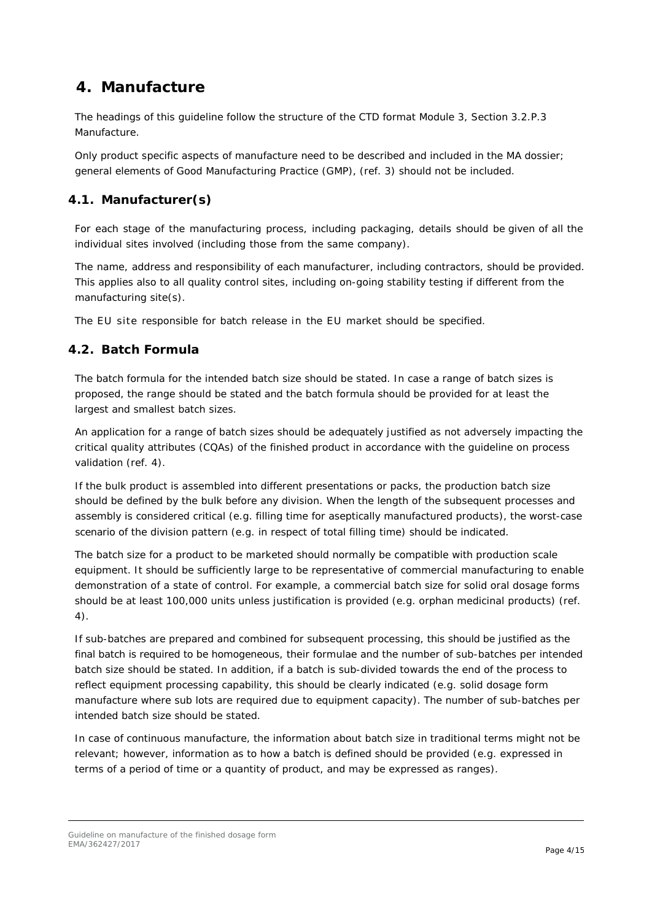## <span id="page-3-0"></span>**4. Manufacture**

The headings of this guideline follow the structure of the CTD format Module 3, Section 3.2.P.3 Manufacture.

Only product specific aspects of manufacture need to be described and included in the MA dossier; general elements of Good Manufacturing Practice (GMP), (ref. 3) should not be included.

## <span id="page-3-1"></span>*4.1. Manufacturer(s)*

For each stage of the manufacturing process, including packaging, details should be given of all the individual sites involved (including those from the same company)*.*

The name, address and responsibility of each manufacturer, including contractors, should be provided. This applies also to all quality control sites, including on-going stability testing if different from the manufacturing site(s).

The EU site responsible for batch release in the EU market should be specified.

### <span id="page-3-2"></span>*4.2. Batch Formula*

The batch formula for the intended batch size should be stated. In case a range of batch sizes is proposed, the range should be stated and the batch formula should be provided for at least the largest and smallest batch sizes.

An application for a range of batch sizes should be adequately justified as not adversely impacting the critical quality attributes (CQAs) of the finished product in accordance with the guideline on process validation (ref. 4).

If the bulk product is assembled into different presentations or packs, the production batch size should be defined by the bulk before any division. When the length of the subsequent processes and assembly is considered critical (e.g. filling time for aseptically manufactured products), the worst-case scenario of the division pattern (e.g. in respect of total filling time) should be indicated.

The batch size for a product to be marketed should normally be compatible with production scale equipment. It should be sufficiently large to be representative of commercial manufacturing to enable demonstration of a state of control. For example, a commercial batch size for solid oral dosage forms should be at least 100,000 units unless justification is provided (e.g. orphan medicinal products) (ref. 4).

If sub-batches are prepared and combined for subsequent processing, this should be justified as the final batch is required to be homogeneous, their formulae and the number of sub-batches per intended batch size should be stated. In addition, if a batch is sub-divided towards the end of the process to reflect equipment processing capability, this should be clearly indicated (e.g. solid dosage form manufacture where sub lots are required due to equipment capacity). The number of sub-batches per intended batch size should be stated.

In case of continuous manufacture, the information about batch size in traditional terms might not be relevant; however, information as to how a batch is defined should be provided (e.g. expressed in terms of a period of time or a quantity of product, and may be expressed as ranges).

Guideline on manufacture of the finished dosage form EMA/362427/2017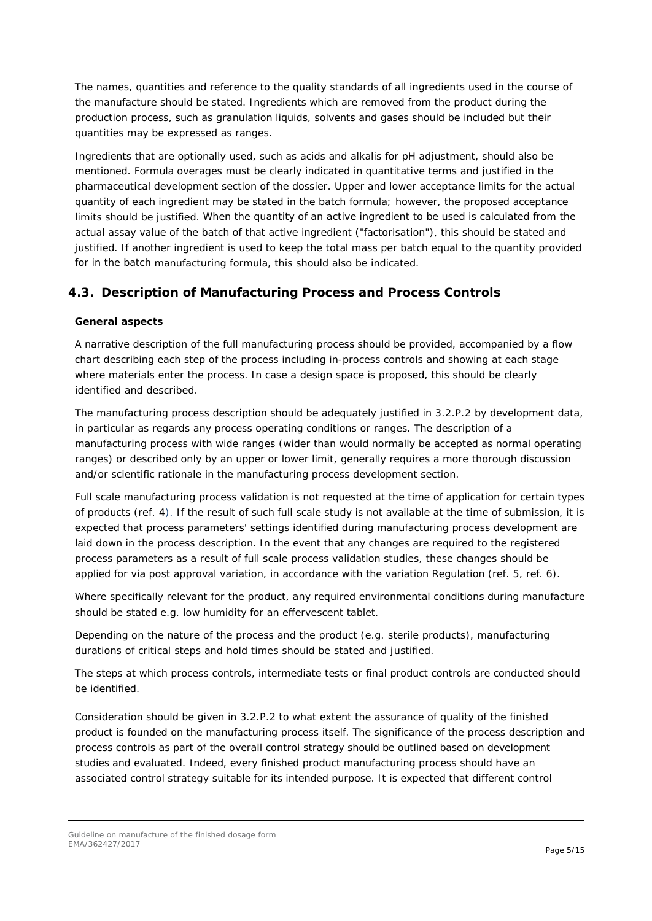The names, quantities and reference to the quality standards of all ingredients used in the course of the manufacture should be stated. Ingredients which are removed from the product during the production process, such as granulation liquids, solvents and gases should be included but their quantities may be expressed as ranges.

Ingredients that are optionally used, such as acids and alkalis for pH adjustment, should also be mentioned. Formula overages must be clearly indicated in quantitative terms and justified in the pharmaceutical development section of the dossier. Upper and lower acceptance limits for the actual quantity of each ingredient may be stated in the batch formula; however, the proposed acceptance limits should be justified. When the quantity of an active ingredient to be used is calculated from the actual assay value of the batch of that active ingredient ("factorisation"), this should be stated and justified. If another ingredient is used to keep the total mass per batch equal to the quantity provided for in the batch manufacturing formula, this should also be indicated.

### <span id="page-4-0"></span>*4.3. Description of Manufacturing Process and Process Controls*

#### **General aspects**

A narrative description of the full manufacturing process should be provided, accompanied by a flow chart describing each step of the process including in-process controls and showing at each stage where materials enter the process. In case a design space is proposed, this should be clearly identified and described.

The manufacturing process description should be adequately justified in 3.2.P.2 by development data, in particular as regards any process operating conditions or ranges. The description of a manufacturing process with wide ranges (wider than would normally be accepted as normal operating ranges) or described only by an upper or lower limit, generally requires a more thorough discussion and/or scientific rationale in the manufacturing process development section.

Full scale manufacturing process validation is not requested at the time of application for certain types of products (ref. 4). If the result of such full scale study is not available at the time of submission, it is expected that process parameters' settings identified during manufacturing process development are laid down in the process description. In the event that any changes are required to the registered process parameters as a result of full scale process validation studies, these changes should be applied for via post approval variation, in accordance with the variation Regulation (ref. 5, ref. 6).

Where specifically relevant for the product, any required environmental conditions during manufacture should be stated e.g. low humidity for an effervescent tablet.

Depending on the nature of the process and the product (e.g. sterile products), manufacturing durations of critical steps and hold times should be stated and justified.

The steps at which process controls, intermediate tests or final product controls are conducted should be identified.

Consideration should be given in 3.2.P.2 to what extent the assurance of quality of the finished product is founded on the manufacturing process itself. The significance of the process description and process controls as part of the overall control strategy should be outlined based on development studies and evaluated. Indeed, every finished product manufacturing process should have an associated control strategy suitable for its intended purpose. It is expected that different control

Guideline on manufacture of the finished dosage form EMA/362427/2017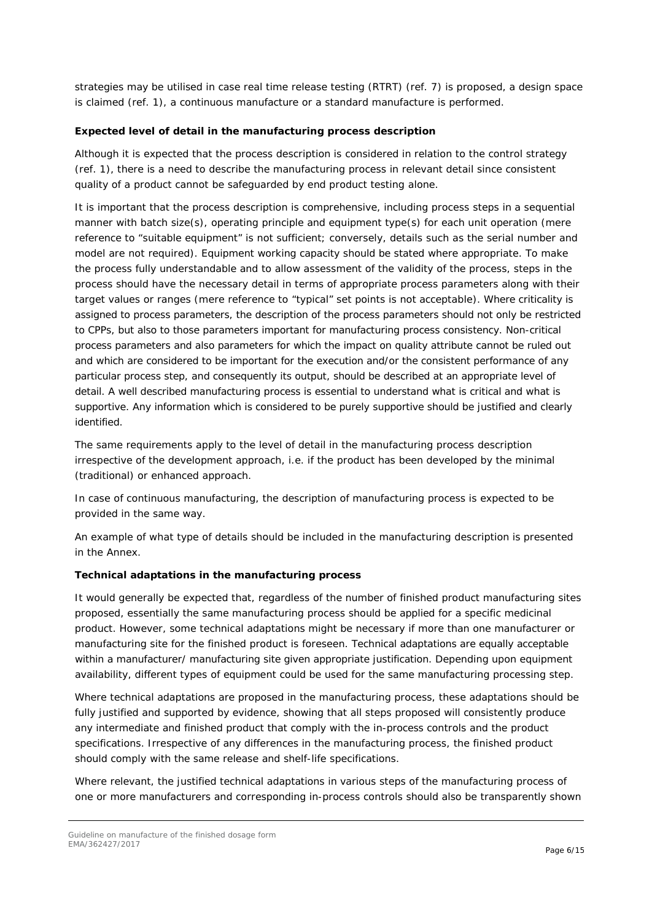strategies may be utilised in case real time release testing (RTRT) (ref. 7) is proposed, a design space is claimed (ref. 1), a continuous manufacture or a standard manufacture is performed.

#### **Expected level of detail in the manufacturing process description**

Although it is expected that the process description is considered in relation to the control strategy (ref. 1), there is a need to describe the manufacturing process in relevant detail since consistent quality of a product cannot be safeguarded by end product testing alone.

It is important that the process description is comprehensive, including process steps in a sequential manner with batch size(s), operating principle and equipment type(s) for each unit operation (mere reference to "suitable equipment" is not sufficient; conversely, details such as the serial number and model are not required). Equipment working capacity should be stated where appropriate. To make the process fully understandable and to allow assessment of the validity of the process, steps in the process should have the necessary detail in terms of appropriate process parameters along with their target values or ranges (mere reference to "typical" set points is not acceptable). Where criticality is assigned to process parameters, the description of the process parameters should not only be restricted to CPPs, but also to those parameters important for manufacturing process consistency. Non-critical process parameters and also parameters for which the impact on quality attribute cannot be ruled out and which are considered to be important for the execution and/or the consistent performance of any particular process step, and consequently its output, should be described at an appropriate level of detail. A well described manufacturing process is essential to understand what is critical and what is supportive. Any information which is considered to be purely supportive should be justified and clearly identified.

The same requirements apply to the level of detail in the manufacturing process description irrespective of the development approach, i.e. if the product has been developed by the minimal (traditional) or enhanced approach.

In case of continuous manufacturing, the description of manufacturing process is expected to be provided in the same way.

An example of what type of details should be included in the manufacturing description is presented in the Annex.

### **Technical adaptations in the manufacturing process**

It would generally be expected that, regardless of the number of finished product manufacturing sites proposed, essentially the same manufacturing process should be applied for a specific medicinal product. However, some technical adaptations might be necessary if more than one manufacturer or manufacturing site for the finished product is foreseen. Technical adaptations are equally acceptable within a manufacturer/ manufacturing site given appropriate justification. Depending upon equipment availability, different types of equipment could be used for the same manufacturing processing step.

Where technical adaptations are proposed in the manufacturing process, these adaptations should be fully justified and supported by evidence, showing that all steps proposed will consistently produce any intermediate and finished product that comply with the in-process controls and the product specifications. Irrespective of any differences in the manufacturing process, the finished product should comply with the same release and shelf-life specifications.

Where relevant, the justified technical adaptations in various steps of the manufacturing process of one or more manufacturers and corresponding in-process controls should also be transparently shown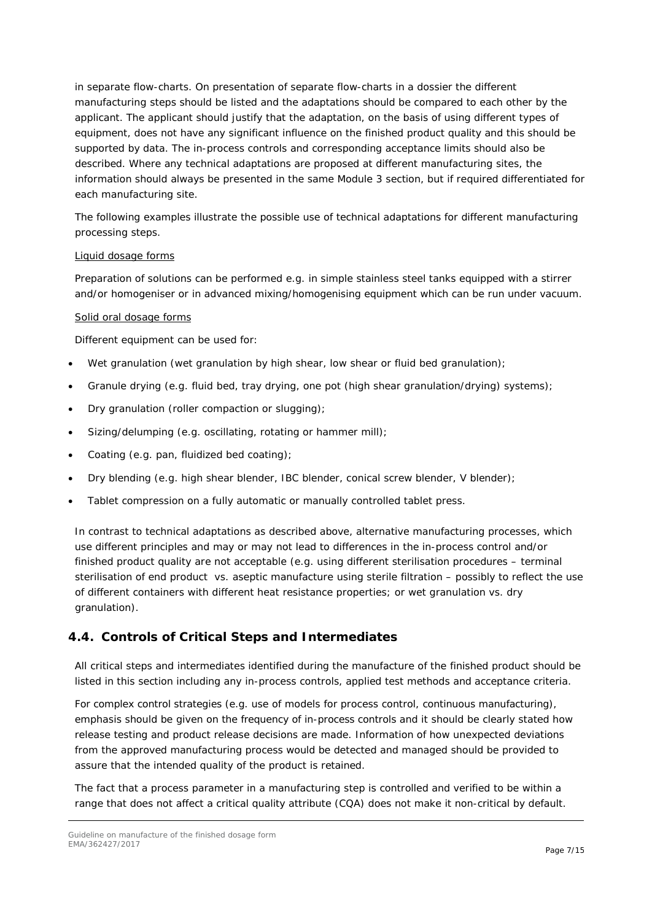in separate flow-charts. On presentation of separate flow-charts in a dossier the different manufacturing steps should be listed and the adaptations should be compared to each other by the applicant. The applicant should justify that the adaptation, on the basis of using different types of equipment, does not have any significant influence on the finished product quality and this should be supported by data. The in-process controls and corresponding acceptance limits should also be described. Where any technical adaptations are proposed at different manufacturing sites, the information should always be presented in the same Module 3 section, but if required differentiated for each manufacturing site.

The following examples illustrate the possible use of technical adaptations for different manufacturing processing steps.

#### Liquid dosage forms

Preparation of solutions can be performed e.g. in simple stainless steel tanks equipped with a stirrer and/or homogeniser or in advanced mixing/homogenising equipment which can be run under vacuum.

#### Solid oral dosage forms

Different equipment can be used for:

- Wet granulation (wet granulation by high shear, low shear or fluid bed granulation);
- Granule drying (e.g. fluid bed, tray drying, one pot (high shear granulation/drying) systems);
- Dry granulation (roller compaction or slugging);
- Sizing/delumping (e.g. oscillating, rotating or hammer mill);
- Coating (e.g. pan, fluidized bed coating);
- Dry blending (e.g. high shear blender, IBC blender, conical screw blender, V blender);
- Tablet compression on a fully automatic or manually controlled tablet press.

In contrast to technical adaptations as described above, alternative manufacturing processes, which use different principles and may or may not lead to differences in the in-process control and/or finished product quality are not acceptable (e.g. using different sterilisation procedures – terminal sterilisation of end product vs. aseptic manufacture using sterile filtration – possibly to reflect the use of different containers with different heat resistance properties; or wet granulation vs. dry granulation).

### <span id="page-6-0"></span>*4.4. Controls of Critical Steps and Intermediates*

All critical steps and intermediates identified during the manufacture of the finished product should be listed in this section including any in-process controls, applied test methods and acceptance criteria.

For complex control strategies (e.g. use of models for process control, continuous manufacturing), emphasis should be given on the frequency of in-process controls and it should be clearly stated how release testing and product release decisions are made. Information of how unexpected deviations from the approved manufacturing process would be detected and managed should be provided to assure that the intended quality of the product is retained.

The fact that a process parameter in a manufacturing step is controlled and verified to be within a range that does not affect a critical quality attribute (CQA) does not make it non-critical by default.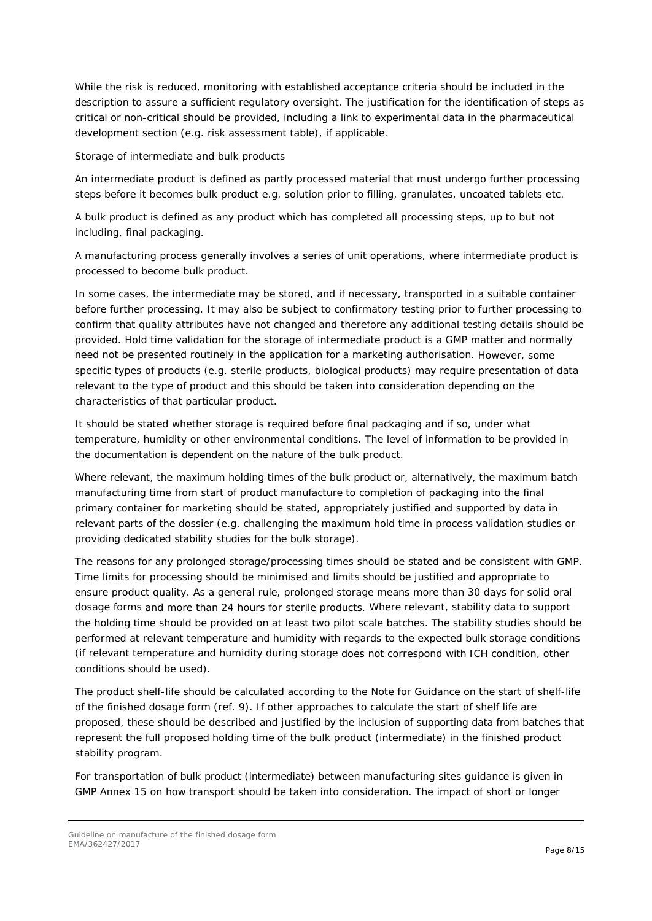While the risk is reduced, monitoring with established acceptance criteria should be included in the description to assure a sufficient regulatory oversight. The justification for the identification of steps as critical or non-critical should be provided, including a link to experimental data in the pharmaceutical development section (e.g. risk assessment table), if applicable.

#### Storage of intermediate and bulk products

An intermediate product is defined as partly processed material that must undergo further processing steps before it becomes bulk product e.g. solution prior to filling, granulates, uncoated tablets etc.

A bulk product is defined as any product which has completed all processing steps, up to but not including, final packaging.

A manufacturing process generally involves a series of unit operations, where intermediate product is processed to become bulk product.

In some cases, the intermediate may be stored, and if necessary, transported in a suitable container before further processing. It may also be subject to confirmatory testing prior to further processing to confirm that quality attributes have not changed and therefore any additional testing details should be provided. Hold time validation for the storage of intermediate product is a GMP matter and normally need not be presented routinely in the application for a marketing authorisation. However, some specific types of products (e.g. sterile products, biological products) may require presentation of data relevant to the type of product and this should be taken into consideration depending on the characteristics of that particular product.

It should be stated whether storage is required before final packaging and if so, under what temperature, humidity or other environmental conditions. The level of information to be provided in the documentation is dependent on the nature of the bulk product.

Where relevant, the maximum holding times of the bulk product or, alternatively, the maximum batch manufacturing time from start of product manufacture to completion of packaging into the final primary container for marketing should be stated, appropriately justified and supported by data in relevant parts of the dossier (e.g. challenging the maximum hold time in process validation studies or providing dedicated stability studies for the bulk storage).

The reasons for any prolonged storage/processing times should be stated and be consistent with GMP. Time limits for processing should be minimised and limits should be justified and appropriate to ensure product quality. As a general rule, prolonged storage means more than 30 days for solid oral dosage forms and more than 24 hours for sterile products. Where relevant, stability data to support the holding time should be provided on at least two pilot scale batches. The stability studies should be performed at relevant temperature and humidity with regards to the expected bulk storage conditions (if relevant temperature and humidity during storage does not correspond with ICH condition, other conditions should be used).

The product shelf-life should be calculated according to the Note for Guidance on the start of shelf-life of the finished dosage form (ref. 9). If other approaches to calculate the start of shelf life are proposed, these should be described and justified by the inclusion of supporting data from batches that represent the full proposed holding time of the bulk product (intermediate) in the finished product stability program.

For transportation of bulk product (intermediate) between manufacturing sites guidance is given in GMP Annex 15 on how transport should be taken into consideration. The impact of short or longer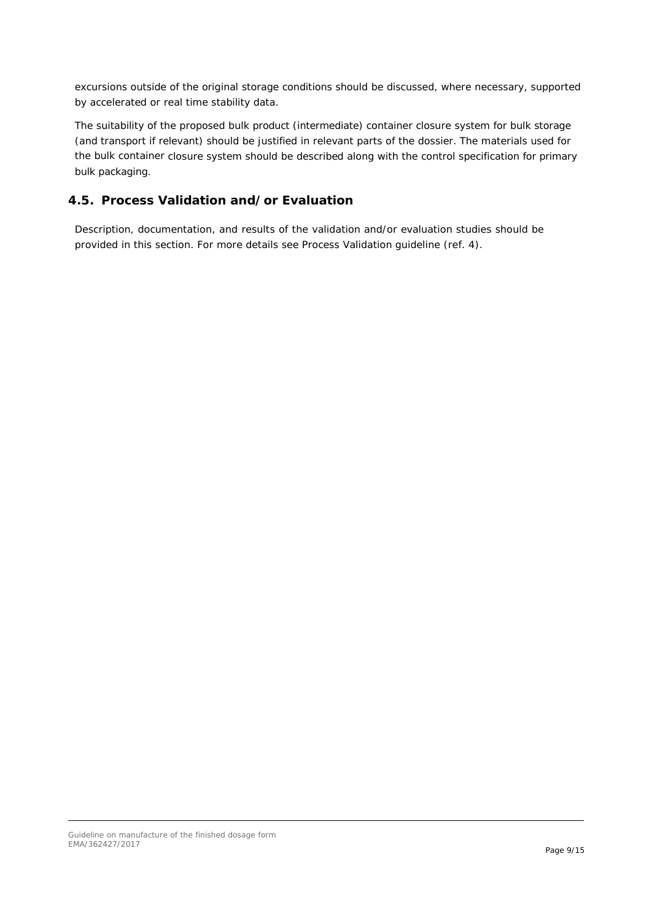excursions outside of the original storage conditions should be discussed, where necessary, supported by accelerated or real time stability data.

The suitability of the proposed bulk product (intermediate) container closure system for bulk storage (and transport if relevant) should be justified in relevant parts of the dossier. The materials used for the bulk container closure system should be described along with the control specification for primary bulk packaging.

### <span id="page-8-0"></span>*4.5. Process Validation and/or Evaluation*

Description, documentation, and results of the validation and/or evaluation studies should be provided in this section. For more details see Process Validation guideline (ref. 4).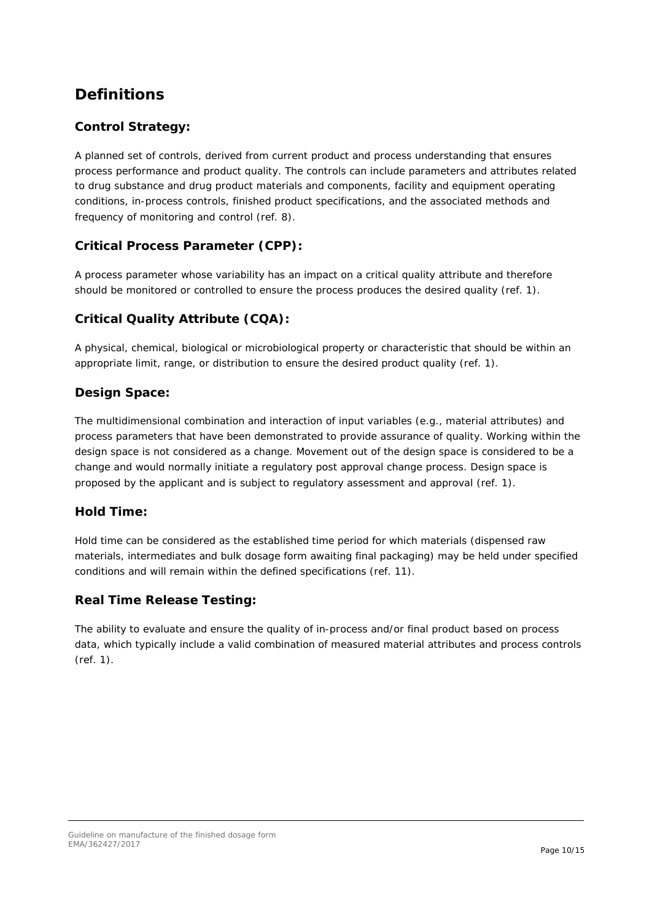## <span id="page-9-0"></span>**Definitions**

### <span id="page-9-1"></span>**Control Strategy:**

A planned set of controls, derived from current product and process understanding that ensures process performance and product quality. The controls can include parameters and attributes related to drug substance and drug product materials and components, facility and equipment operating conditions, in-process controls, finished product specifications, and the associated methods and frequency of monitoring and control (ref. 8).

### <span id="page-9-2"></span>**Critical Process Parameter (CPP):**

A process parameter whose variability has an impact on a critical quality attribute and therefore should be monitored or controlled to ensure the process produces the desired quality (ref. 1).

### <span id="page-9-3"></span>**Critical Quality Attribute (CQA):**

A physical, chemical, biological or microbiological property or characteristic that should be within an appropriate limit, range, or distribution to ensure the desired product quality (ref. 1).

### <span id="page-9-4"></span>**Design Space:**

The multidimensional combination and interaction of input variables (e.g., material attributes) and process parameters that have been demonstrated to provide assurance of quality. Working within the design space is not considered as a change. Movement out of the design space is considered to be a change and would normally initiate a regulatory post approval change process. Design space is proposed by the applicant and is subject to regulatory assessment and approval (ref. 1).

### <span id="page-9-5"></span>**Hold Time:**

Hold time can be considered as the established time period for which materials (dispensed raw materials, intermediates and bulk dosage form awaiting final packaging) may be held under specified conditions and will remain within the defined specifications (ref. 11).

### <span id="page-9-6"></span>**Real Time Release Testing:**

The ability to evaluate and ensure the quality of in-process and/or final product based on process data, which typically include a valid combination of measured material attributes and process controls (ref. 1).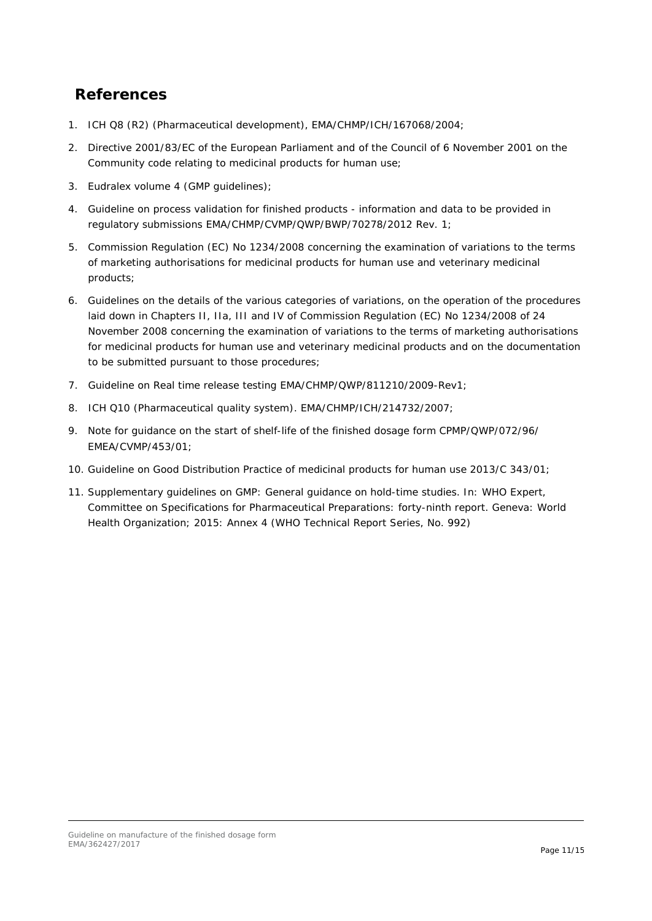## <span id="page-10-0"></span>**References**

- 1. ICH Q8 (R2) (Pharmaceutical development), EMA/CHMP/ICH/167068/2004;
- 2. Directive 2001/83/EC of the European Parliament and of the Council of 6 November 2001 on the Community code relating to medicinal products for human use;
- 3. Eudralex volume 4 (GMP guidelines);
- 4. Guideline on process validation for finished products information and data to be provided in regulatory submissions EMA/CHMP/CVMP/QWP/BWP/70278/2012 Rev. 1;
- 5. Commission Regulation (EC) No 1234/2008 concerning the examination of variations to the terms of marketing authorisations for medicinal products for human use and veterinary medicinal products;
- 6. Guidelines on the details of the various categories of variations, on the operation of the procedures laid down in Chapters II, IIa, III and IV of Commission Regulation (EC) No 1234/2008 of 24 November 2008 concerning the examination of variations to the terms of marketing authorisations for medicinal products for human use and veterinary medicinal products and on the documentation to be submitted pursuant to those procedures;
- 7. Guideline on Real time release testing EMA/CHMP/QWP/811210/2009-Rev1;
- 8. ICH Q10 (Pharmaceutical quality system). EMA/CHMP/ICH/214732/2007;
- 9. Note for guidance on the start of shelf-life of the finished dosage form CPMP/QWP/072/96/ EMEA/CVMP/453/01;
- 10. Guideline on Good Distribution Practice of medicinal products for human use 2013/C 343/01;
- 11. Supplementary guidelines on GMP: General guidance on hold-time studies. In: WHO Expert, Committee on Specifications for Pharmaceutical Preparations: forty-ninth report. Geneva: World Health Organization; 2015: Annex 4 (WHO Technical Report Series, No. 992)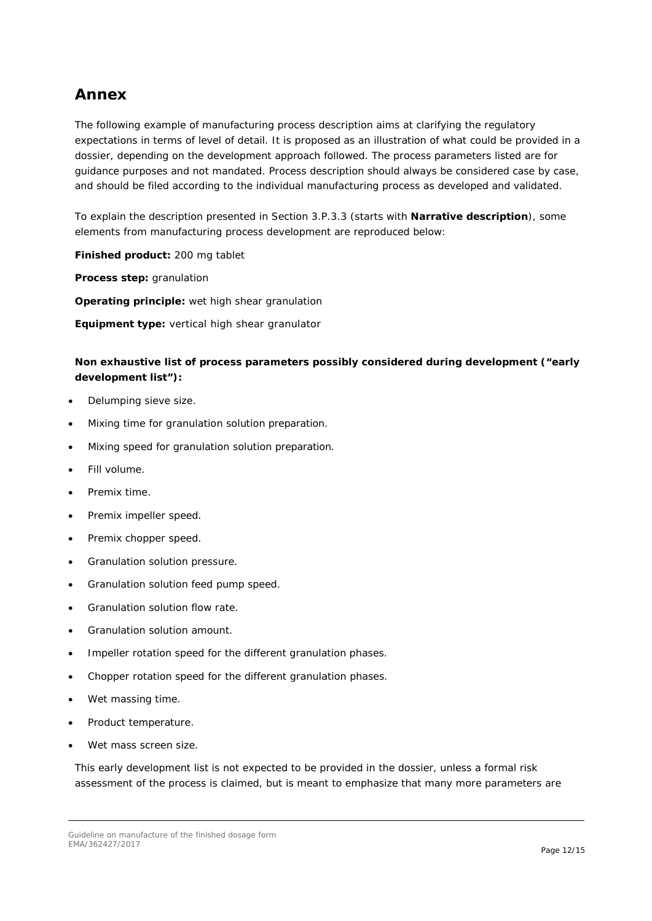## <span id="page-11-0"></span>**Annex**

The following example of manufacturing process description aims at clarifying the regulatory expectations in terms of level of detail. It is proposed as an illustration of what could be provided in a dossier, depending on the development approach followed. The process parameters listed are for guidance purposes and not mandated. Process description should always be considered case by case, and should be filed according to the individual manufacturing process as developed and validated.

To explain the description presented in Section 3.P.3.3 (starts with **Narrative description**), some elements from manufacturing process development are reproduced below:

**Finished product:** 200 mg tablet

**Process step:** granulation

**Operating principle:** wet high shear granulation

**Equipment type:** vertical high shear granulator

### **Non exhaustive list of process parameters possibly considered during development ("early development list"):**

- Delumping sieve size.
- Mixing time for granulation solution preparation.
- Mixing speed for granulation solution preparation.
- Fill volume.
- Premix time.
- Premix impeller speed.
- Premix chopper speed.
- Granulation solution pressure.
- Granulation solution feed pump speed.
- Granulation solution flow rate.
- Granulation solution amount.
- Impeller rotation speed for the different granulation phases.
- Chopper rotation speed for the different granulation phases.
- Wet massing time.
- Product temperature.
- Wet mass screen size.

This early development list is not expected to be provided in the dossier, unless a formal risk assessment of the process is claimed, but is meant to emphasize that many more parameters are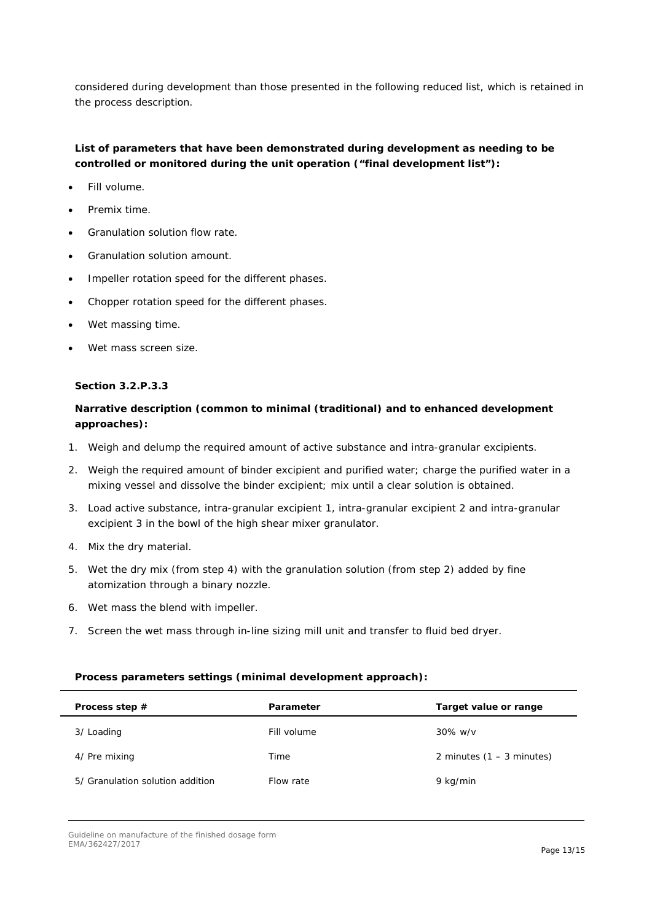considered during development than those presented in the following reduced list, which is retained in the process description.

### **List of parameters that have been demonstrated during development as needing to be controlled or monitored during the unit operation ("final development list"):**

- Fill volume.
- Premix time.
- Granulation solution flow rate.
- Granulation solution amount.
- Impeller rotation speed for the different phases.
- Chopper rotation speed for the different phases.
- Wet massing time.
- Wet mass screen size.

#### **Section 3.2.P.3.3**

### **Narrative description (common to minimal (traditional) and to enhanced development approaches):**

- 1. Weigh and delump the required amount of active substance and intra-granular excipients.
- 2. Weigh the required amount of binder excipient and purified water; charge the purified water in a mixing vessel and dissolve the binder excipient; mix until a clear solution is obtained.
- 3. Load active substance, intra-granular excipient 1, intra-granular excipient 2 and intra-granular excipient 3 in the bowl of the high shear mixer granulator.
- 4. Mix the dry material.
- 5. Wet the dry mix (from step 4) with the granulation solution (from step 2) added by fine atomization through a binary nozzle.
- 6. Wet mass the blend with impeller.
- 7. Screen the wet mass through in-line sizing mill unit and transfer to fluid bed dryer.

### **Process parameters settings (minimal development approach):**

| Process step $#$                 | Parameter   | Target value or range       |
|----------------------------------|-------------|-----------------------------|
| 3/ Loading                       | Fill volume | $30\%$ w/v                  |
| 4/ Pre mixing                    | Time        | 2 minutes $(1 - 3$ minutes) |
| 5/ Granulation solution addition | Flow rate   | 9 kg/min                    |

Guideline on manufacture of the finished dosage form EMA/362427/2017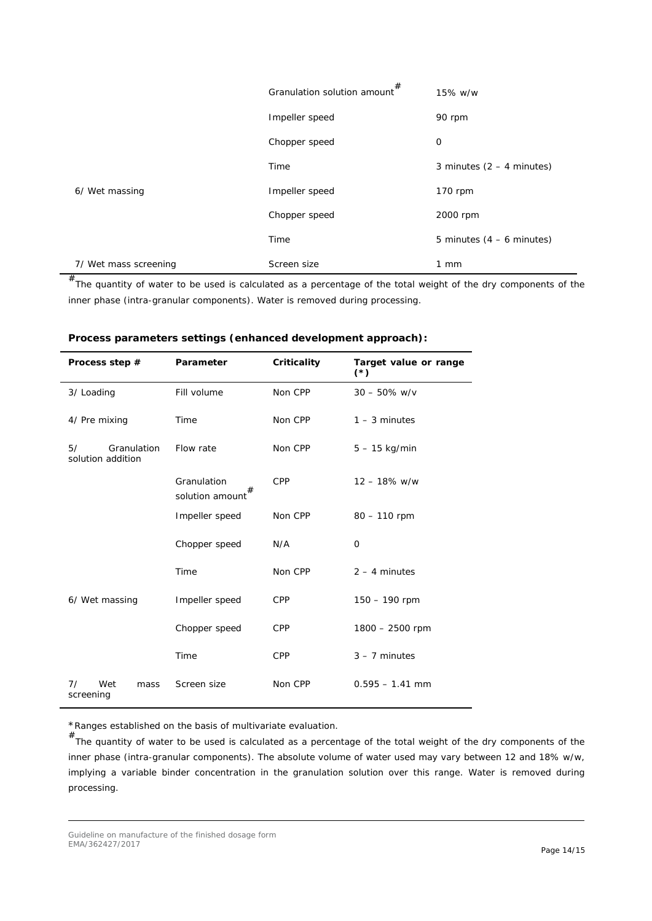|                       | Granulation solution amount $#$ | 15% w/w                     |
|-----------------------|---------------------------------|-----------------------------|
|                       | Impeller speed                  | 90 rpm                      |
|                       | Chopper speed                   | 0                           |
|                       | Time                            | 3 minutes $(2 - 4$ minutes) |
| 6/ Wet massing        | Impeller speed                  | 170 rpm                     |
|                       | Chopper speed                   | 2000 rpm                    |
|                       | Time                            | 5 minutes $(4 - 6$ minutes) |
| 7/ Wet mass screening | Screen size                     | $1 \, \text{mm}$            |

 $^{\#}$ The quantity of water to be used is calculated as a percentage of the total weight of the dry components of the inner phase (intra-granular components). Water is removed during processing.

| Process step #                         | Parameter                           | Criticality | Target value or range<br>$(*)$ |
|----------------------------------------|-------------------------------------|-------------|--------------------------------|
| 3/ Loading                             | Fill volume                         | Non CPP     | $30 - 50\%$ w/v                |
| 4/ Pre mixing                          | Time                                | Non CPP     | $1 - 3$ minutes                |
| 5/<br>Granulation<br>solution addition | Flow rate                           | Non CPP     | $5 - 15$ kg/min                |
|                                        | Granulation<br>#<br>solution amount | <b>CPP</b>  | $12 - 18\%$ w/w                |
|                                        | Impeller speed                      | Non CPP     | $80 - 110$ rpm                 |
|                                        | Chopper speed                       | N/A         | 0                              |
|                                        | Time                                | Non CPP     | $2 - 4$ minutes                |
| 6/ Wet massing                         | Impeller speed                      | <b>CPP</b>  | 150 - 190 rpm                  |
|                                        | Chopper speed                       | <b>CPP</b>  | 1800 - 2500 rpm                |
|                                        | Time                                | <b>CPP</b>  | $3 - 7$ minutes                |
| 7/<br>Wet<br>mass<br>screening         | Screen size                         | Non CPP     | $0.595 - 1.41$ mm              |

| Process parameters settings (enhanced development approach): |  |  |  |
|--------------------------------------------------------------|--|--|--|
|--------------------------------------------------------------|--|--|--|

\*Ranges established on the basis of multivariate evaluation.

# The quantity of water to be used is calculated as a percentage of the total weight of the dry components of the inner phase (intra-granular components). The absolute volume of water used may vary between 12 and 18% w/w, implying a variable binder concentration in the granulation solution over this range. Water is removed during processing.